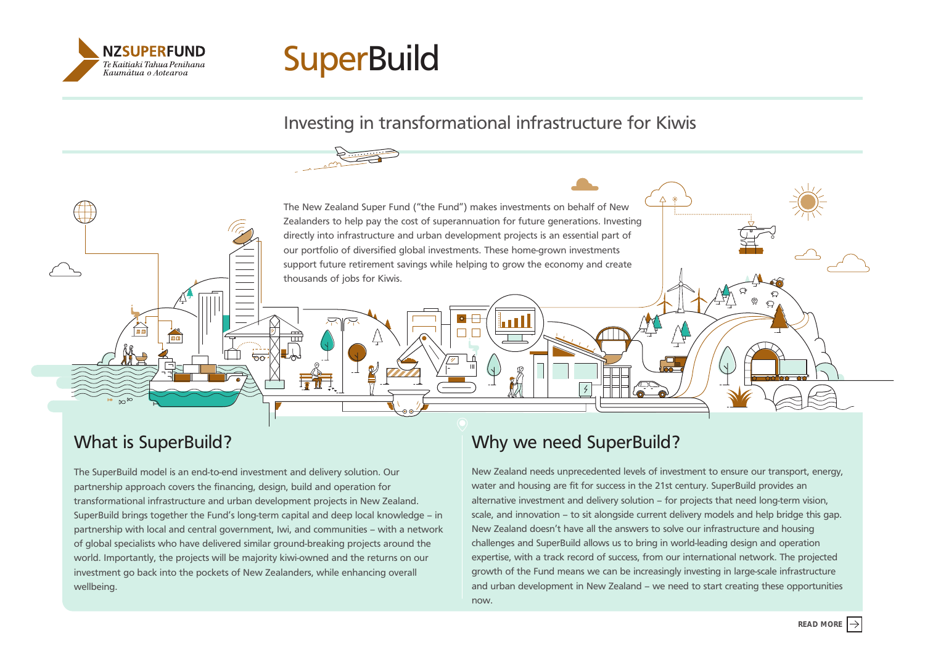



## Investing in transformational infrastructure for Kiwis

The New Zealand Super Fund ("the Fund") makes investments on behalf of New Zealanders to help pay the cost of superannuation for future generations. Investing directly into infrastructure and urban development projects is an essential part of our portfolio of diversified global investments. These home-grown investments support future retirement savings while helping to grow the economy and create thousands of jobs for Kiwis.

 $\pm$ 

## What is SuperBuild?

The SuperBuild model is an end-to-end investment and delivery solution. Our partnership approach covers the financing, design, build and operation for transformational infrastructure and urban development projects in New Zealand. SuperBuild brings together the Fund's long-term capital and deep local knowledge – in partnership with local and central government, Iwi, and communities – with a network of global specialists who have delivered similar ground-breaking projects around the world. Importantly, the projects will be majority kiwi-owned and the returns on our investment go back into the pockets of New Zealanders, while enhancing overall wellbeing.

# Why we need SuperBuild?

New Zealand needs unprecedented levels of investment to ensure our transport, energy, water and housing are fit for success in the 21st century. SuperBuild provides an alternative investment and delivery solution – for projects that need long-term vision, scale, and innovation – to sit alongside current delivery models and help bridge this gap. New Zealand doesn't have all the answers to solve our infrastructure and housing challenges and SuperBuild allows us to bring in world-leading design and operation expertise, with a track record of success, from our international network. The projected growth of the Fund means we can be increasingly investing in large-scale infrastructure and urban development in New Zealand – we need to start creating these opportunities now.